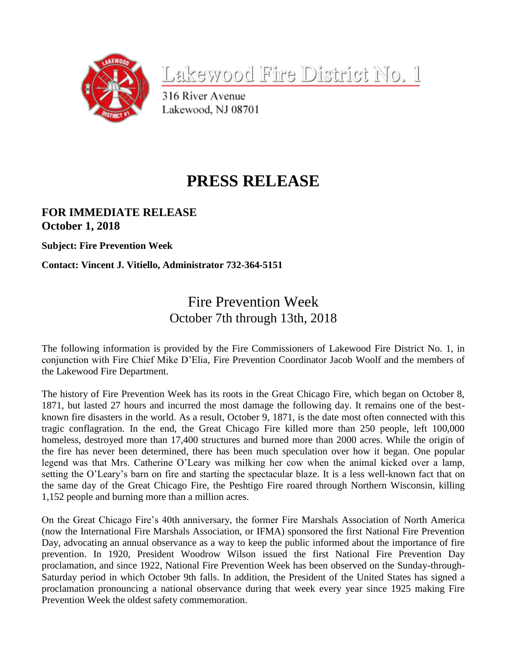

<u>Lakewood Fire District No. 1</u>

316 River Avenue Lakewood, NJ 08701

## **PRESS RELEASE**

## **FOR IMMEDIATE RELEASE October 1, 2018**

**Subject: Fire Prevention Week**

**Contact: Vincent J. Vitiello, Administrator 732-364-5151**

## Fire Prevention Week October 7th through 13th, 2018

The following information is provided by the Fire Commissioners of Lakewood Fire District No. 1, in conjunction with Fire Chief Mike D'Elia, Fire Prevention Coordinator Jacob Woolf and the members of the Lakewood Fire Department.

The history of Fire Prevention Week has its roots in the Great Chicago Fire, which began on October 8, 1871, but lasted 27 hours and incurred the most damage the following day. It remains one of the bestknown fire disasters in the world. As a result, October 9, 1871, is the date most often connected with this tragic conflagration. In the end, the Great Chicago Fire killed more than 250 people, left 100,000 homeless, destroyed more than 17,400 structures and burned more than 2000 acres. While the origin of the fire has never been determined, there has been much speculation over how it began. One popular legend was that Mrs. Catherine O'Leary was milking her cow when the animal kicked over a lamp, setting the O'Leary's barn on fire and starting the spectacular blaze. It is a less well-known fact that on the same day of the Great Chicago Fire, the Peshtigo Fire roared through Northern Wisconsin, killing 1,152 people and burning more than a million acres.

On the Great Chicago Fire's 40th anniversary, the former Fire Marshals Association of North America (now the International Fire Marshals Association, or IFMA) sponsored the first National Fire Prevention Day, advocating an annual observance as a way to keep the public informed about the importance of fire prevention. In 1920, President Woodrow Wilson issued the first National Fire Prevention Day proclamation, and since 1922, National Fire Prevention Week has been observed on the Sunday-through-Saturday period in which October 9th falls. In addition, the President of the United States has signed a proclamation pronouncing a national observance during that week every year since 1925 making Fire Prevention Week the oldest safety commemoration.